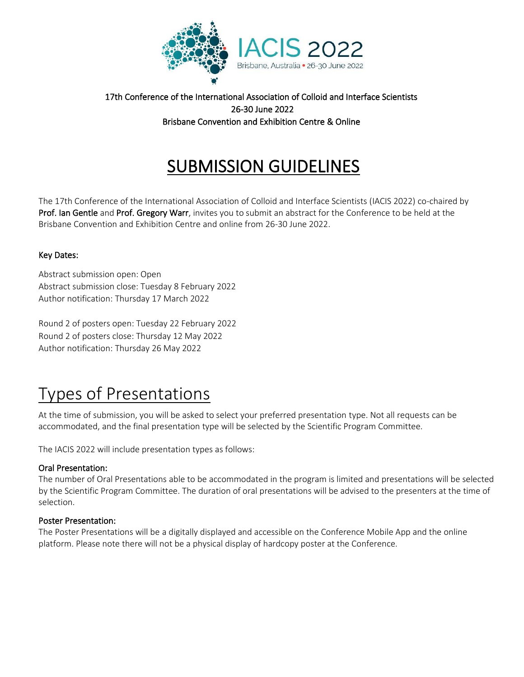

### 17th Conference of the International Association of Colloid and Interface Scientists 26-30 June 2022 Brisbane Convention and Exhibition Centre & Online

## SUBMISSION GUIDELINES

The 17th Conference of the International Association of Colloid and Interface Scientists (IACIS 2022) co-chaired by Prof. Ian Gentle and Prof. Gregory Warr, invites you to submit an abstract for the Conference to be held at the Brisbane Convention and Exhibition Centre and online from 26-30 June 2022.

#### Key Dates:

Abstract submission open: Open Abstract submission close: Tuesday 8 February 2022 Author notification: Thursday 17 March 2022

Round 2 of posters open: Tuesday 22 February 2022 Round 2 of posters close: Thursday 12 May 2022 Author notification: Thursday 26 May 2022

# Types of Presentations

At the time of submission, you will be asked to select your preferred presentation type. Not all requests can be accommodated, and the final presentation type will be selected by the Scientific Program Committee.

The IACIS 2022 will include presentation types as follows:

#### Oral Presentation:

The number of Oral Presentations able to be accommodated in the program is limited and presentations will be selected by the Scientific Program Committee. The duration of oral presentations will be advised to the presenters at the time of selection.

#### Poster Presentation:

The Poster Presentations will be a digitally displayed and accessible on the Conference Mobile App and the online platform. Please note there will not be a physical display of hardcopy poster at the Conference.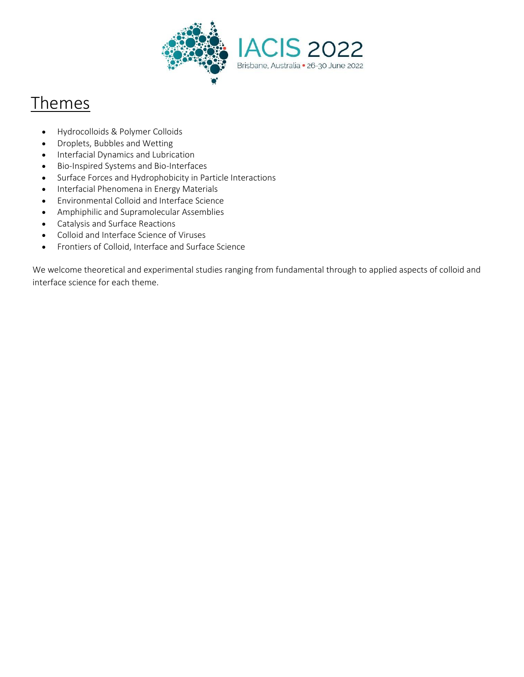

### **Themes**

- Hydrocolloids & Polymer Colloids
- Droplets, Bubbles and Wetting
- Interfacial Dynamics and Lubrication
- Bio-Inspired Systems and Bio-Interfaces
- Surface Forces and Hydrophobicity in Particle Interactions
- Interfacial Phenomena in Energy Materials
- Environmental Colloid and Interface Science
- Amphiphilic and Supramolecular Assemblies
- Catalysis and Surface Reactions
- Colloid and Interface Science of Viruses
- Frontiers of Colloid, Interface and Surface Science

We welcome theoretical and experimental studies ranging from fundamental through to applied aspects of colloid and interface science for each theme.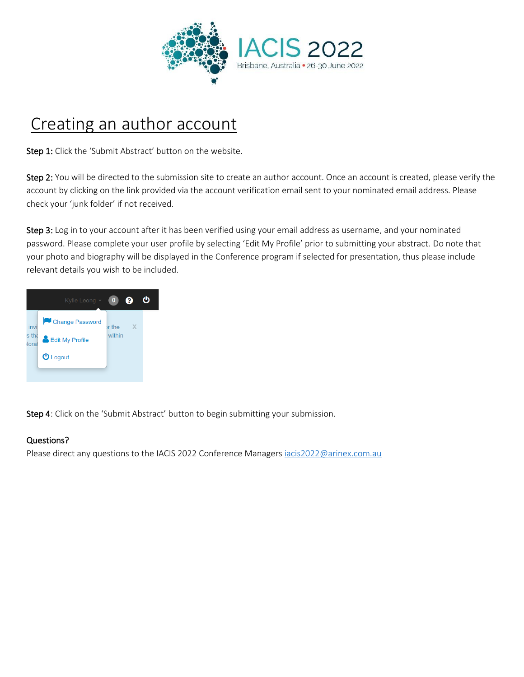

## Creating an author account

Step 1: Click the 'Submit Abstract' button on the website.

Step 2: You will be directed to the submission site to create an author account. Once an account is created, please verify the account by clicking on the link provided via the account verification email sent to your nominated email address. Please check your 'junk folder' if not received.

Step 3: Log in to your account after it has been verified using your email address as username, and your nominated password. Please complete your user profile by selecting 'Edit My Profile' prior to submitting your abstract. Do note that your photo and biography will be displayed in the Conference program if selected for presentation, thus please include relevant details you wish to be included.



Step 4: Click on the 'Submit Abstract' button to begin submitting your submission.

#### Questions?

Please direct any questions to the IACIS 2022 Conference Managers jacis2022@arinex.com.au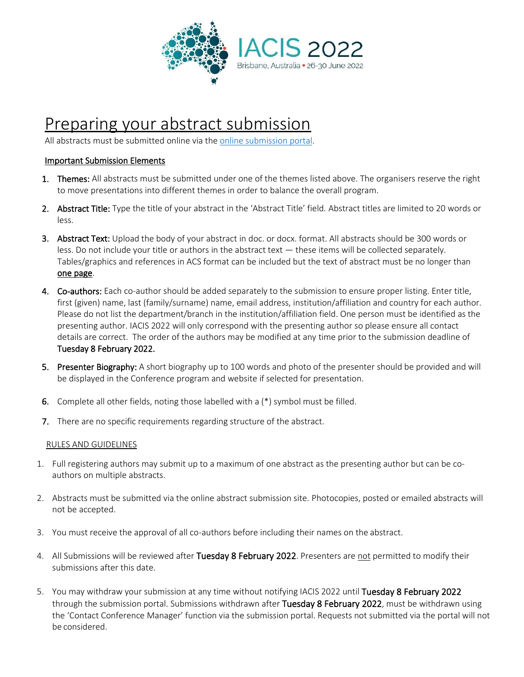

### Preparing your abstract submission

All abstracts must be submitted online via the [online submission portal.](https://iacis2021-c10000.eorganiser.com.au/)

#### Important Submission Elements

- 1. Themes: All abstracts must be submitted under one of the themes listed above. The organisers reserve the right to move presentations into different themes in order to balance the overall program.
- 2. Abstract Title: Type the title of your abstract in the 'Abstract Title' field. Abstract titles are limited to 20 words or less.
- 3. Abstract Text: Upload the body of your abstract in doc. or docx. format. All abstracts should be 300 words or less. Do not include your title or authors in the abstract text — these items will be collected separately. Tables/graphics and references in ACS format can be included but the text of abstract must be no longer than one page.
- 4. Co-authors: Each co-author should be added separately to the submission to ensure proper listing. Enter title, first (given) name, last (family/surname) name, email address, institution/affiliation and country for each author. Please do not list the department/branch in the institution/affiliation field. One person must be identified as the presenting author. IACIS 2022 will only correspond with the presenting author so please ensure all contact details are correct. The order of the authors may be modified at any time prior to the submission deadline of Tuesday 8 February 2022.
- 5. Presenter Biography: A short biography up to 100 words and photo of the presenter should be provided and will be displayed in the Conference program and website if selected for presentation.
- 6. Complete all other fields, noting those labelled with a (\*) symbol must be filled.
- 7. There are no specific requirements regarding structure of the abstract.

#### RULES AND GUIDELINES

- 1. Full registering authors may submit up to a maximum of one abstract as the presenting author but can be coauthors on multiple abstracts.
- 2. Abstracts must be submitted via the online abstract submission site. Photocopies, posted or emailed abstracts will not be accepted.
- 3. You must receive the approval of all co-authors before including their names on the abstract.
- 4. All Submissions will be reviewed after Tuesday 8 February 2022. Presenters are not permitted to modify their submissions after this date.
- 5. You may withdraw your submission at any time without notifying IACIS 2022 until Tuesday 8 February 2022 through the submission portal. Submissions withdrawn after Tuesday 8 February 2022, must be withdrawn using the 'Contact Conference Manager' function via the submission portal. Requests not submitted via the portal will not be considered.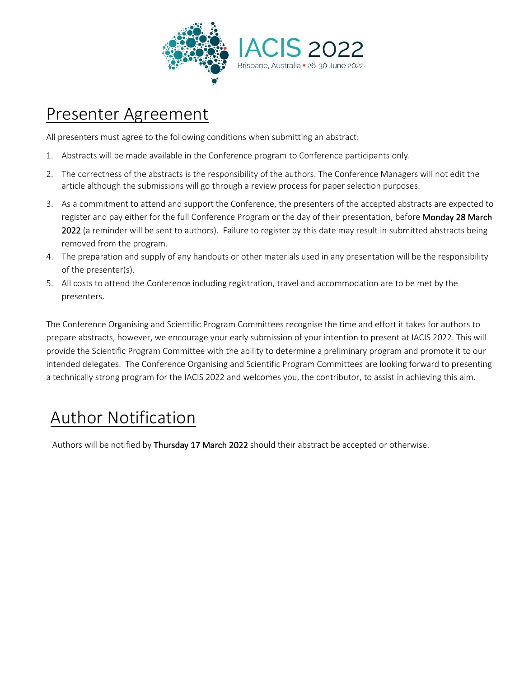

### Presenter Agreement

All presenters must agree to the following conditions when submitting an abstract:

- 1. Abstracts will be made available in the Conference program to Conference participants only.
- 2. The correctness of the abstracts is the responsibility of the authors. The Conference Managers will not edit the article although the submissions will go through a review process for paper selection purposes.
- 3. As a commitment to attend and support the Conference, the presenters of the accepted abstracts are expected to register and pay either for the full Conference Program or the day of their presentation, before Monday 28 March 2022 (a reminder will be sent to authors). Failure to register by this date may result in submitted abstracts being removed from the program.
- 4. The preparation and supply of any handouts or other materials used in any presentation will be the responsibility of the presenter(s).
- 5. All costs to attend the Conference including registration, travel and accommodation are to be met by the presenters.

The Conference Organising and Scientific Program Committees recognise the time and effort it takes for authors to prepare abstracts, however, we encourage your early submission of your intention to present at IACIS 2022. This will provide the Scientific Program Committee with the ability to determine a preliminary program and promote it to our intended delegates. The Conference Organising and Scientific Program Committees are looking forward to presenting a technically strong program for the IACIS 2022 and welcomes you, the contributor, to assist in achieving this aim.

## Author Notification

Authors will be notified by Thursday 17 March 2022 should their abstract be accepted or otherwise.